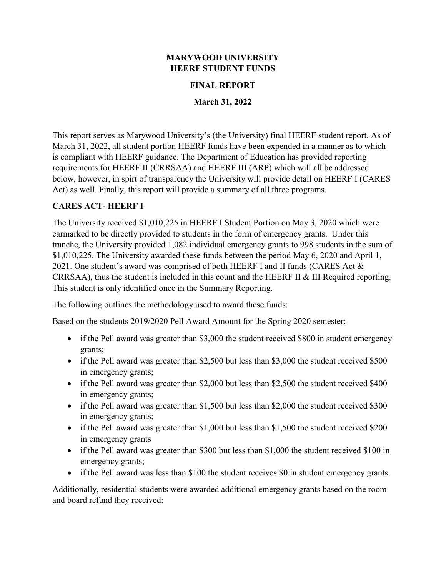#### **MARYWOOD UNIVERSITY HEERF STUDENT FUNDS**

#### **FINAL REPORT**

**March 31, 2022**

This report serves as Marywood University's (the University) final HEERF student report. As of March 31, 2022, all student portion HEERF funds have been expended in a manner as to which is compliant with HEERF guidance. The Department of Education has provided reporting requirements for HEERF II (CRRSAA) and HEERF III (ARP) which will all be addressed below, however, in spirt of transparency the University will provide detail on HEERF I (CARES Act) as well. Finally, this report will provide a summary of all three programs.

## **CARES ACT- HEERF I**

The University received \$1,010,225 in HEERF I Student Portion on May 3, 2020 which were earmarked to be directly provided to students in the form of emergency grants. Under this tranche, the University provided 1,082 individual emergency grants to 998 students in the sum of \$1,010,225. The University awarded these funds between the period May 6, 2020 and April 1, 2021. One student's award was comprised of both HEERF I and II funds (CARES Act & CRRSAA), thus the student is included in this count and the HEERF II & III Required reporting. This student is only identified once in the Summary Reporting.

The following outlines the methodology used to award these funds:

Based on the students 2019/2020 Pell Award Amount for the Spring 2020 semester:

- if the Pell award was greater than \$3,000 the student received \$800 in student emergency grants;
- if the Pell award was greater than \$2,500 but less than \$3,000 the student received \$500 in emergency grants;
- if the Pell award was greater than \$2,000 but less than \$2,500 the student received \$400 in emergency grants;
- if the Pell award was greater than \$1,500 but less than \$2,000 the student received \$300 in emergency grants;
- if the Pell award was greater than \$1,000 but less than \$1,500 the student received \$200 in emergency grants
- if the Pell award was greater than \$300 but less than \$1,000 the student received \$100 in emergency grants;
- if the Pell award was less than \$100 the student receives \$0 in student emergency grants.

Additionally, residential students were awarded additional emergency grants based on the room and board refund they received: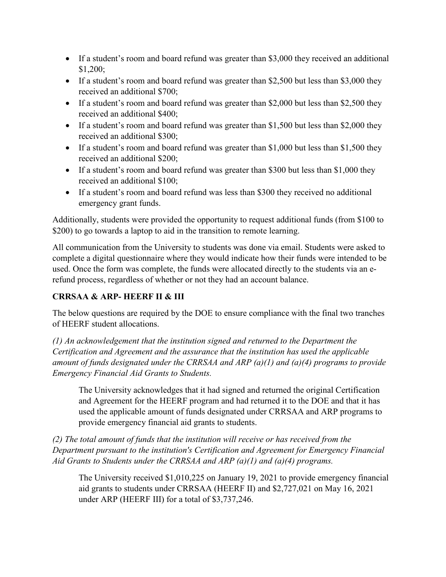- If a student's room and board refund was greater than \$3,000 they received an additional \$1,200;
- If a student's room and board refund was greater than \$2,500 but less than \$3,000 they received an additional \$700;
- If a student's room and board refund was greater than \$2,000 but less than \$2,500 they received an additional \$400;
- If a student's room and board refund was greater than \$1,500 but less than \$2,000 they received an additional \$300;
- If a student's room and board refund was greater than \$1,000 but less than \$1,500 they received an additional \$200;
- If a student's room and board refund was greater than \$300 but less than \$1,000 they received an additional \$100;
- If a student's room and board refund was less than \$300 they received no additional emergency grant funds.

Additionally, students were provided the opportunity to request additional funds (from \$100 to \$200) to go towards a laptop to aid in the transition to remote learning.

All communication from the University to students was done via email. Students were asked to complete a digital questionnaire where they would indicate how their funds were intended to be used. Once the form was complete, the funds were allocated directly to the students via an erefund process, regardless of whether or not they had an account balance.

# **CRRSAA & ARP- HEERF II & III**

The below questions are required by the DOE to ensure compliance with the final two tranches of HEERF student allocations.

*(1) An acknowledgement that the institution signed and returned to the Department the Certification and Agreement and the assurance that the institution has used the applicable amount of funds designated under the CRRSAA and ARP (a)(1) and (a)(4) programs to provide Emergency Financial Aid Grants to Students.*

The University acknowledges that it had signed and returned the original Certification and Agreement for the HEERF program and had returned it to the DOE and that it has used the applicable amount of funds designated under CRRSAA and ARP programs to provide emergency financial aid grants to students.

*(2) The total amount of funds that the institution will receive or has received from the Department pursuant to the institution's Certification and Agreement for Emergency Financial Aid Grants to Students under the CRRSAA and ARP (a)(1) and (a)(4) programs.*

The University received \$1,010,225 on January 19, 2021 to provide emergency financial aid grants to students under CRRSAA (HEERF II) and \$2,727,021 on May 16, 2021 under ARP (HEERF III) for a total of \$3,737,246.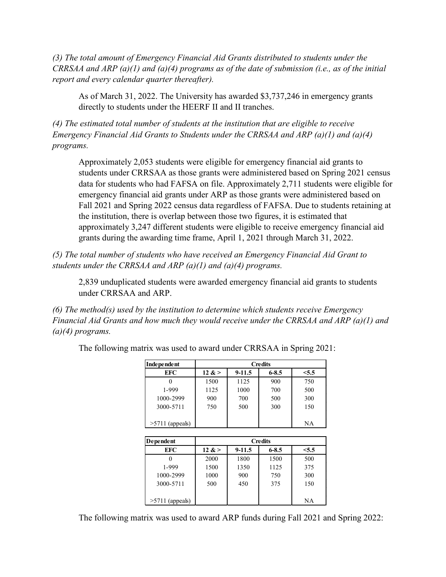*(3) The total amount of Emergency Financial Aid Grants distributed to students under the CRRSAA and ARP (a)(1) and (a)(4) programs as of the date of submission (i.e., as of the initial report and every calendar quarter thereafter).* 

As of March 31, 2022. The University has awarded \$3,737,246 in emergency grants directly to students under the HEERF II and II tranches.

*(4) The estimated total number of students at the institution that are eligible to receive Emergency Financial Aid Grants to Students under the CRRSAA and ARP (a)(1) and (a)(4) programs.* 

Approximately 2,053 students were eligible for emergency financial aid grants to students under CRRSAA as those grants were administered based on Spring 2021 census data for students who had FAFSA on file. Approximately 2,711 students were eligible for emergency financial aid grants under ARP as those grants were administered based on Fall 2021 and Spring 2022 census data regardless of FAFSA. Due to students retaining at the institution, there is overlap between those two figures, it is estimated that approximately 3,247 different students were eligible to receive emergency financial aid grants during the awarding time frame, April 1, 2021 through March 31, 2022.

*(5) The total number of students who have received an Emergency Financial Aid Grant to students under the CRRSAA and ARP (a)(1) and (a)(4) programs.* 

2,839 unduplicated students were awarded emergency financial aid grants to students under CRRSAA and ARP.

*(6) The method(s) used by the institution to determine which students receive Emergency Financial Aid Grants and how much they would receive under the CRRSAA and ARP (a)(1) and (a)(4) programs.* 

| Independent       | <b>Credits</b> |        |           |       |  |
|-------------------|----------------|--------|-----------|-------|--|
| EFC               | 12 $&>$        | 9-11.5 | $6 - 8.5$ | < 5.5 |  |
|                   | 1500           | 1125   | 900       | 750   |  |
| 1-999             | 1125           | 1000   | 700       | 500   |  |
| 1000-2999         | 900            | 700    | 500       | 300   |  |
| 3000-5711         | 750            | 500    | 300       | 150   |  |
|                   |                |        |           |       |  |
| $>5711$ (appeals) |                |        |           | NΑ    |  |
|                   |                |        |           |       |  |

The following matrix was used to award under CRRSAA in Spring 2021:

| Dependent         | <b>Credits</b> |            |           |       |  |
|-------------------|----------------|------------|-----------|-------|--|
| EFC               | 12 <           | $9 - 11.5$ | $6 - 8.5$ | < 5.5 |  |
|                   | 2000           | 1800       | 1500      | 500   |  |
| 1-999             | 1500           | 1350       | 1125      | 375   |  |
| 1000-2999         | 1000           | 900        | 750       | 300   |  |
| 3000-5711         | 500            | 450        | 375       | 150   |  |
| $>5711$ (appeals) |                |            |           | NА    |  |

The following matrix was used to award ARP funds during Fall 2021 and Spring 2022: